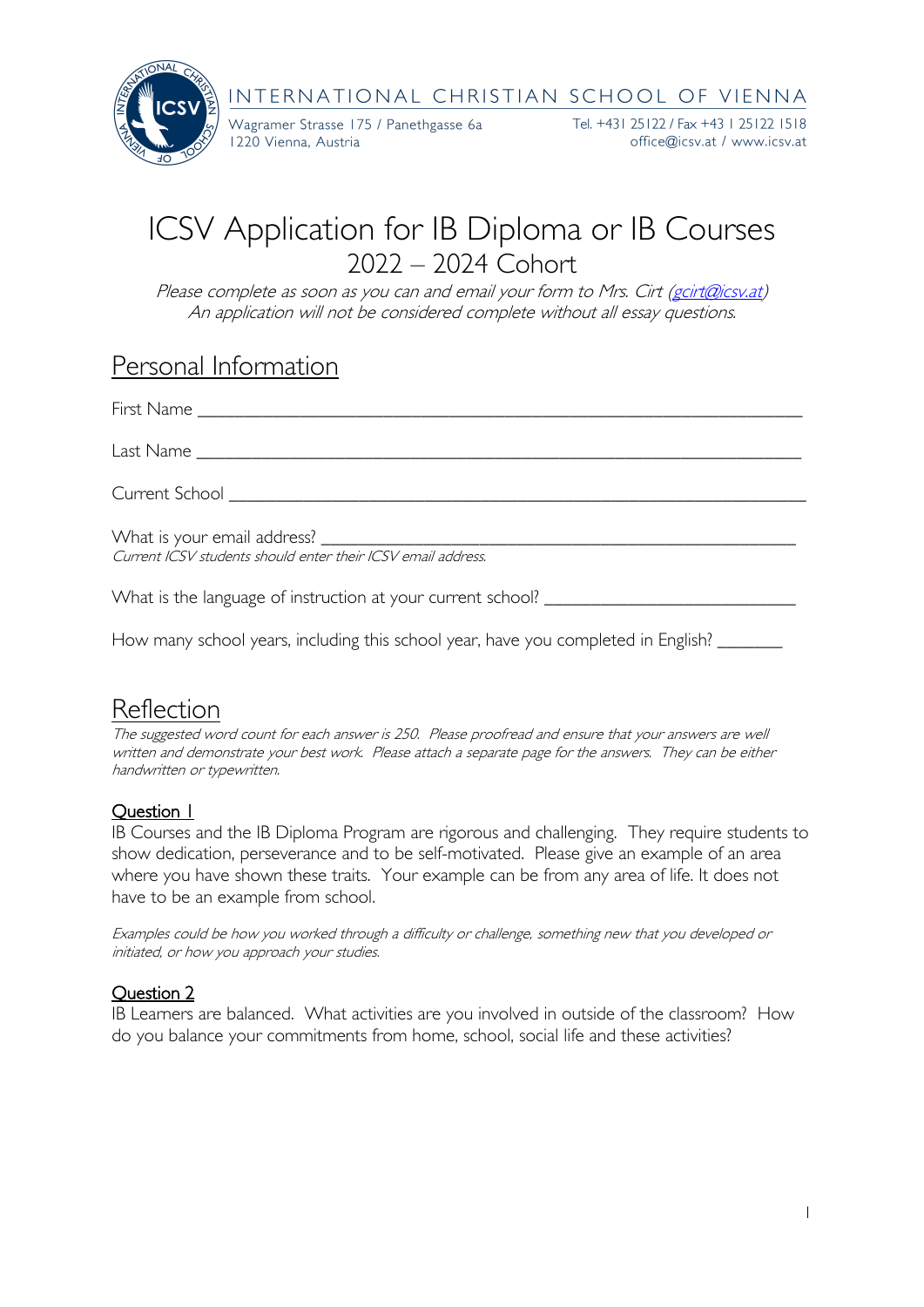

Wagramer Strasse 175 / Panethgasse 6a 1220 Vienna, Austria

Tel. +431 25122 / Fax +43 1 25122 1518 office@icsv.at / www.icsv.at

# ICSV Application for IB Diploma or IB Courses 2022 – 2024 Cohort

Please complete as soon as you can and email your form to Mrs. Cirt [\(gcirt@icsv.at\)](mailto:gcirt@icsv.at) An application will not be considered complete without all essay questions.

### Personal Information

| Last Name and the state of the state of the state of the state of the state of the state of the state of the state of the state of the state of the state of the state of the state of the state of the state of the state of |
|-------------------------------------------------------------------------------------------------------------------------------------------------------------------------------------------------------------------------------|
| Current School ____________________________                                                                                                                                                                                   |
| What is your email address? _______________________<br>Current ICSV students should enter their ICSV email address.                                                                                                           |
| What is the language of instruction at your current school?                                                                                                                                                                   |

How many school years, including this school year, have you completed in English? \_

# Reflection

The suggested word count for each answer is 250. Please proofread and ensure that your answers are well written and demonstrate your best work. Please attach a separate page for the answers. They can be either handwritten or typewritten.

#### Question 1

IB Courses and the IB Diploma Program are rigorous and challenging. They require students to show dedication, perseverance and to be self-motivated. Please give an example of an area where you have shown these traits. Your example can be from any area of life. It does not have to be an example from school.

Examples could be how you worked through a difficulty or challenge, something new that you developed or initiated, or how you approach your studies.

#### Question 2

IB Learners are balanced. What activities are you involved in outside of the classroom? How do you balance your commitments from home, school, social life and these activities?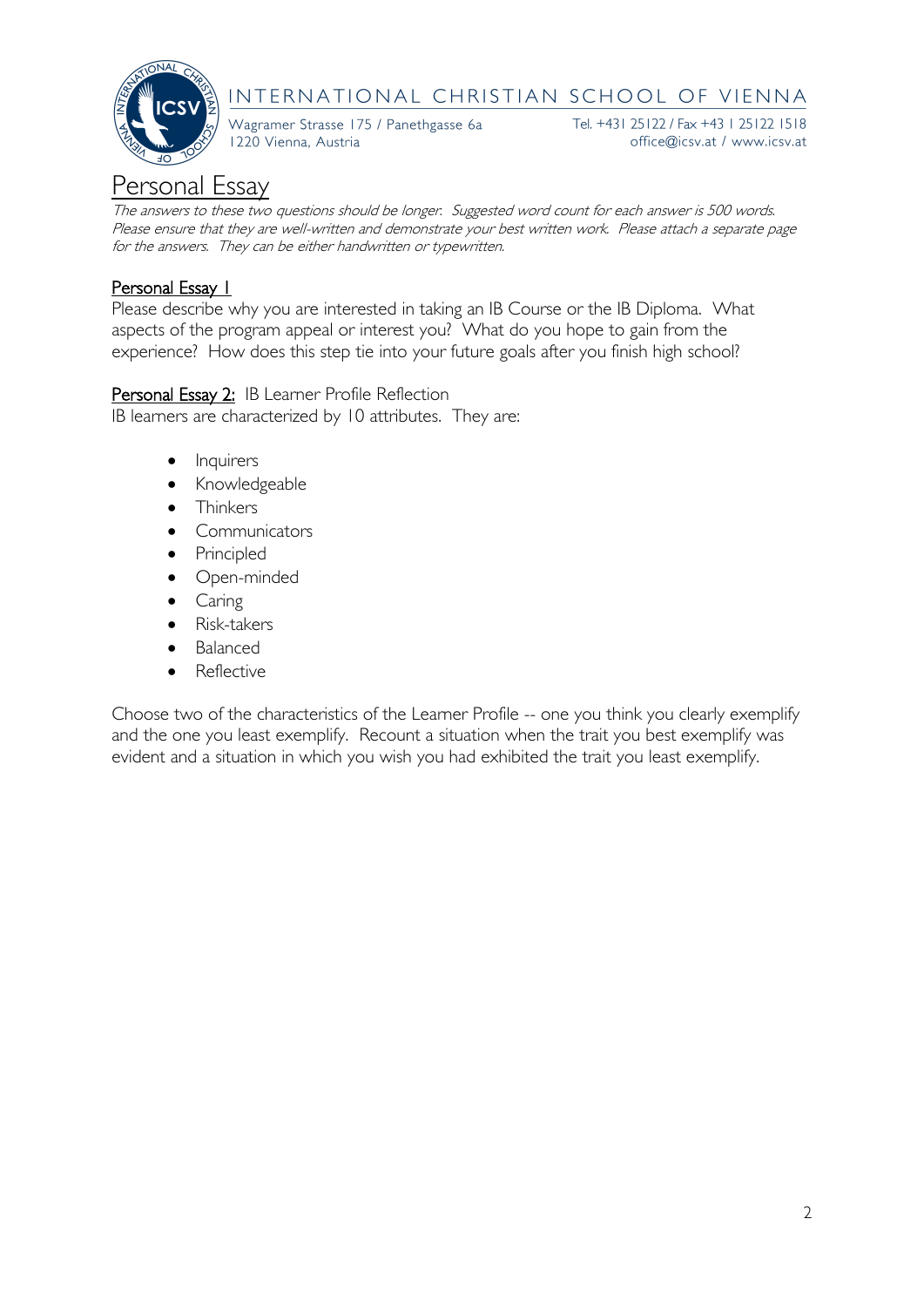

Wagramer Strasse 175 / Panethgasse 6a 1220 Vienna, Austria

Tel. +431 25122 / Fax +43 1 25122 1518 office@icsv.at / www.icsv.at

# Personal Essay

The answers to these two questions should be longer. Suggested word count for each answer is 500 words. Please ensure that they are well-written and demonstrate your best written work. Please attach a separate page for the answers. They can be either handwritten or typewritten.

#### Personal Essay 1

Please describe why you are interested in taking an IB Course or the IB Diploma. What aspects of the program appeal or interest you? What do you hope to gain from the experience? How does this step tie into your future goals after you finish high school?

Personal Essay 2: IB Learner Profile Reflection

IB learners are characterized by 10 attributes. They are:

- Inquirers
- Knowledgeable
- **Thinkers**
- Communicators
- Principled
- Open-minded
- **Caring**
- Risk-takers
- Balanced
- Reflective

Choose two of the characteristics of the Learner Profile -- one you think you clearly exemplify and the one you least exemplify. Recount a situation when the trait you best exemplify was evident and a situation in which you wish you had exhibited the trait you least exemplify.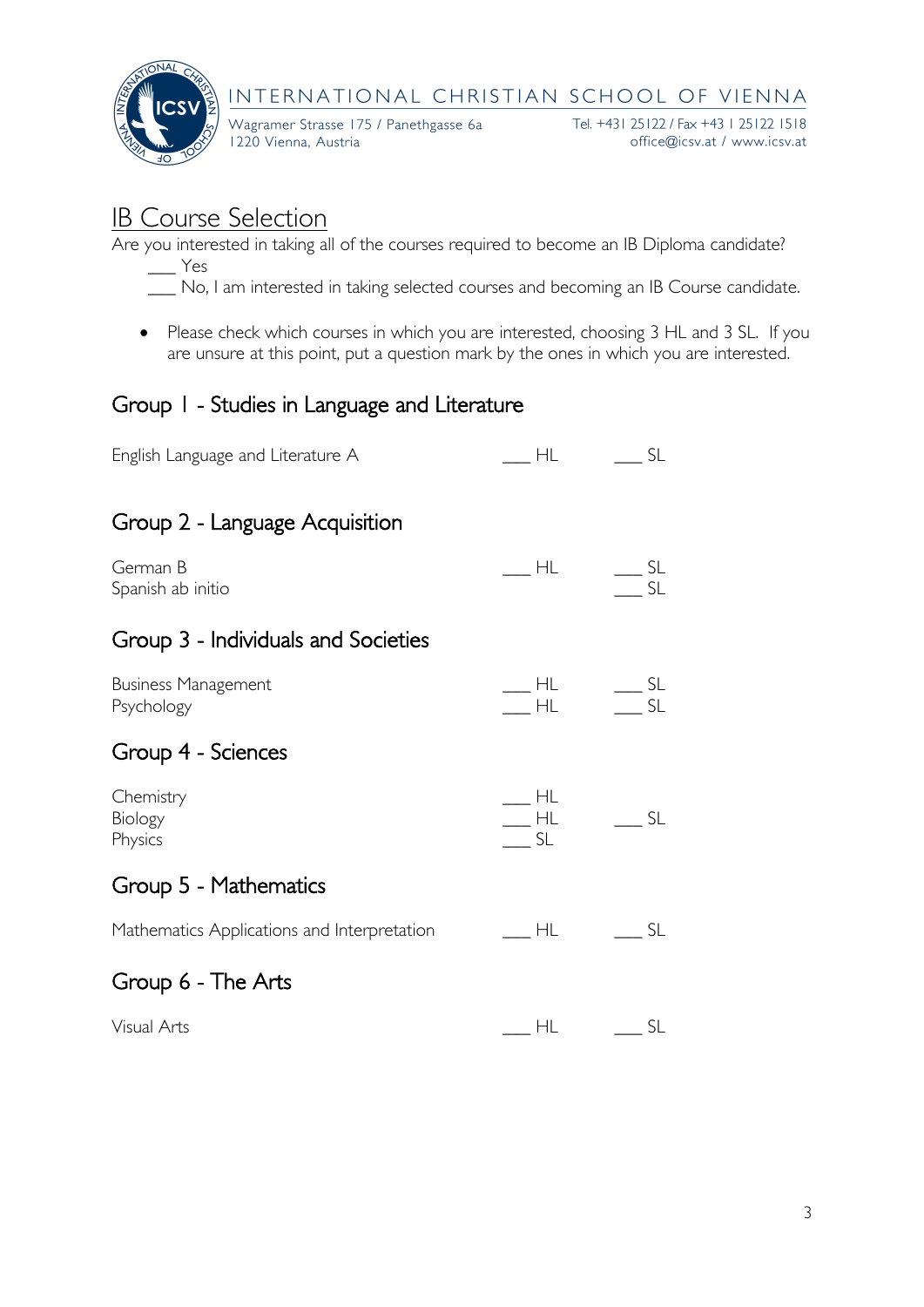

Wagramer Strasse 175 / Panethgasse 6a 1220 Vienna, Austria

Tel. +431 25122 / Fax +43 1 25122 1518 office@icsv.at / www.icsv.at

# IB Course Selection

Are you interested in taking all of the courses required to become an IB Diploma candidate?

- $\equiv$  Yes
- \_\_\_ No, I am interested in taking selected courses and becoming an IB Course candidate.
- Please check which courses in which you are interested, choosing 3 HL and 3 SL. If you are unsure at this point, put a question mark by the ones in which you are interested.

### Group 1 - Studies in Language and Literature

| English Language and Literature A           | $\overline{\phantom{a}}$ HL                 | $\overline{\phantom{a}}$ SL                                                                                                                                                                                                                                                                                                                                                                                                                   |
|---------------------------------------------|---------------------------------------------|-----------------------------------------------------------------------------------------------------------------------------------------------------------------------------------------------------------------------------------------------------------------------------------------------------------------------------------------------------------------------------------------------------------------------------------------------|
| Group 2 - Language Acquisition              |                                             |                                                                                                                                                                                                                                                                                                                                                                                                                                               |
| German B<br>Spanish ab initio               | $\overline{\phantom{a}}$ HL                 | $\frac{1}{\sqrt{2}}$ SL<br>$\overline{\phantom{a}}$ SL                                                                                                                                                                                                                                                                                                                                                                                        |
| Group 3 - Individuals and Societies         |                                             |                                                                                                                                                                                                                                                                                                                                                                                                                                               |
| <b>Business Management</b><br>Psychology    |                                             | $\begin{array}{ccc} \text{1} & \text{1} & \text{1} & \text{1} & \text{1} & \text{1} & \text{1} & \text{1} & \text{1} & \text{1} & \text{1} & \text{1} & \text{1} & \text{1} & \text{1} & \text{1} & \text{1} & \text{1} & \text{1} & \text{1} & \text{1} & \text{1} & \text{1} & \text{1} & \text{1} & \text{1} & \text{1} & \text{1} & \text{1} & \text{1} & \text{1} & \text{1} & \text{1} & \text{1} & \text{1} & \text{$<br>$-$ HL $-$ SL |
| Group 4 - Sciences                          |                                             |                                                                                                                                                                                                                                                                                                                                                                                                                                               |
| Chemistry<br>Biology<br>Physics             | $\overline{\phantom{a}}$ HL<br>$-$ HL<br>SL | $\frac{1}{2}$ SL                                                                                                                                                                                                                                                                                                                                                                                                                              |
| Group 5 - Mathematics                       |                                             |                                                                                                                                                                                                                                                                                                                                                                                                                                               |
| Mathematics Applications and Interpretation | $\overline{\phantom{a}}$ HL                 | SL                                                                                                                                                                                                                                                                                                                                                                                                                                            |
| Group 6 - The Arts                          |                                             |                                                                                                                                                                                                                                                                                                                                                                                                                                               |
| Visual Arts                                 | <b>HL</b>                                   | $\frac{1}{\sqrt{1-\frac{1}{2}}}$                                                                                                                                                                                                                                                                                                                                                                                                              |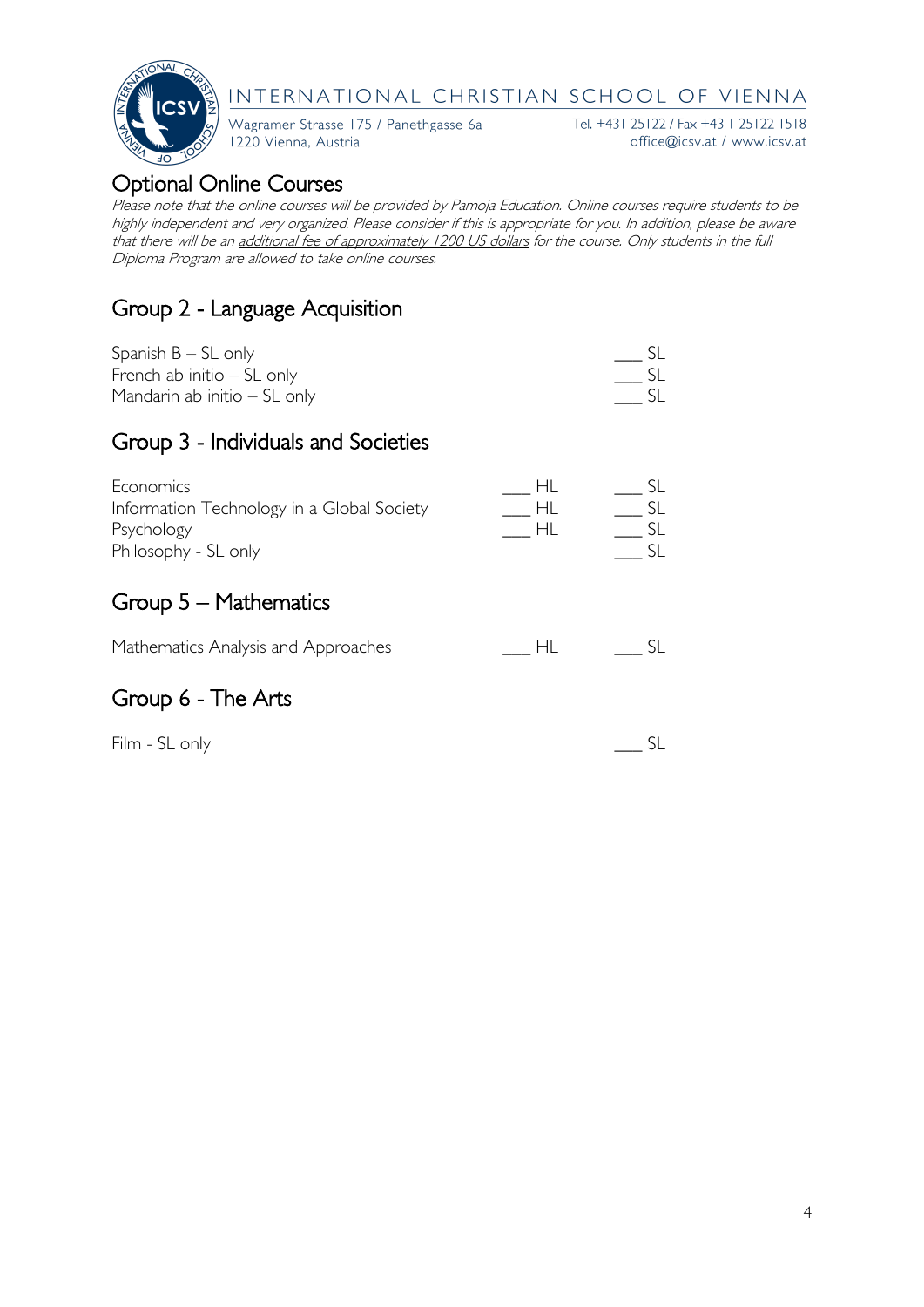

Wagramer Strasse 175 / Panethgasse 6a 1220 Vienna, Austria

Tel. +431 25122 / Fax +43 1 25122 1518 office@icsv.at / www.icsv.at

### Optional Online Courses

Please note that the online courses will be provided by Pamoja Education. Online courses require students to be highly independent and very organized. Please consider if this is appropriate for you. In addition, please be aware that there will be an additional fee of approximately 1200 US dollars for the course. Only students in the full Diploma Program are allowed to take online courses.

## Group 2 - Language Acquisition

| Spanish $B - SL$ only          |  |
|--------------------------------|--|
| French ab initio $-$ SL only   |  |
| Mandarin ab initio $-$ SL only |  |

#### Group 3 - Individuals and Societies

| Economics                                  |  |
|--------------------------------------------|--|
| Information Technology in a Global Society |  |
| Psychology                                 |  |
| Philosophy - SL only                       |  |
|                                            |  |

### Group 5 – Mathematics

| Mathematics Analysis and Approaches |  |  |
|-------------------------------------|--|--|
|-------------------------------------|--|--|

### Group 6 - The Arts

Film - SL only \_\_\_ SL